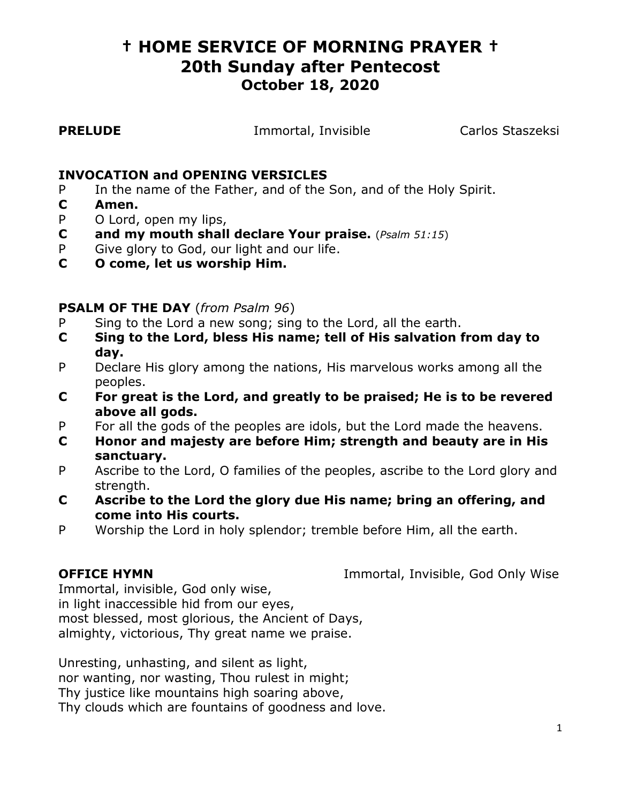# **† HOME SERVICE OF MORNING PRAYER † 20th Sunday after Pentecost October 18, 2020**

**PRELUDE Immortal, Invisible Carlos Staszeksi** 

### **INVOCATION and OPENING VERSICLES**

- P In the name of the Father, and of the Son, and of the Holy Spirit.
- **C Amen.**
- P O Lord, open my lips,
- **C and my mouth shall declare Your praise.** (*Psalm 51:15*)
- P Give glory to God, our light and our life.
- **C O come, let us worship Him.**

### **PSALM OF THE DAY** (*from Psalm 96*)

- P Sing to the Lord a new song; sing to the Lord, all the earth.
- **C Sing to the Lord, bless His name; tell of His salvation from day to day.**
- P Declare His glory among the nations, His marvelous works among all the peoples.
- **C For great is the Lord, and greatly to be praised; He is to be revered above all gods.**
- P For all the gods of the peoples are idols, but the Lord made the heavens.
- **C Honor and majesty are before Him; strength and beauty are in His sanctuary.**
- P Ascribe to the Lord, O families of the peoples, ascribe to the Lord glory and strength.
- **C Ascribe to the Lord the glory due His name; bring an offering, and come into His courts.**
- P Worship the Lord in holy splendor; tremble before Him, all the earth.

**OFFICE HYMN Immortal, Invisible, God Only Wise** 

Immortal, invisible, God only wise, in light inaccessible hid from our eyes, most blessed, most glorious, the Ancient of Days, almighty, victorious, Thy great name we praise.

Unresting, unhasting, and silent as light, nor wanting, nor wasting, Thou rulest in might; Thy justice like mountains high soaring above, Thy clouds which are fountains of goodness and love.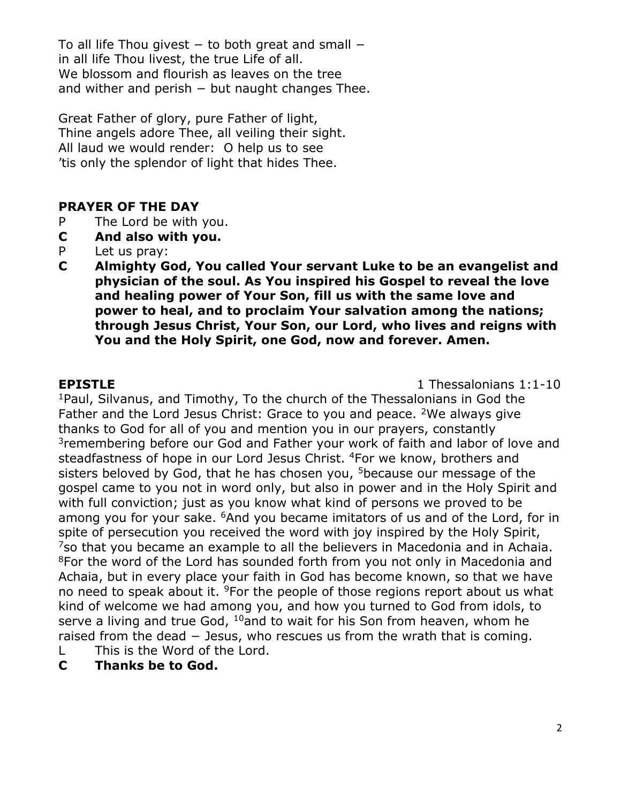To all life Thou givest  $-$  to both great and small  $$ in all life Thou livest, the true Life of all. We blossom and flourish as leaves on the tree and wither and perish  $-$  but naught changes Thee.

Great Father of glory, pure Father of light, Thine angels adore Thee, all veiling their sight. All laud we would render: O help us to see 'tis only the splendor of light that hides Thee.

### **PRAYER OF THE DAY**

- P The Lord be with you.
- **C And also with you.**
- P Let us pray:
- **C Almighty God, You called Your servant Luke to be an evangelist and physician of the soul. As You inspired his Gospel to reveal the love and healing power of Your Son, fill us with the same love and power to heal, and to proclaim Your salvation among the nations; through Jesus Christ, Your Son, our Lord, who lives and reigns with You and the Holy Spirit, one God, now and forever. Amen.**

**EPISTLE** 1 Thessalonians 1:1-10

<sup>1</sup>Paul, Silvanus, and Timothy, To the church of the Thessalonians in God the Father and the Lord Jesus Christ: Grace to you and peace. <sup>2</sup>We always give thanks to God for all of you and mention you in our prayers, constantly <sup>3</sup> remembering before our God and Father your work of faith and labor of love and steadfastness of hope in our Lord Jesus Christ. <sup>4</sup>For we know, brothers and sisters beloved by God, that he has chosen you, <sup>5</sup>because our message of the gospel came to you not in word only, but also in power and in the Holy Spirit and with full conviction; just as you know what kind of persons we proved to be among you for your sake. <sup>6</sup>And you became imitators of us and of the Lord, for in spite of persecution you received the word with joy inspired by the Holy Spirit,  $7$ so that you became an example to all the believers in Macedonia and in Achaia. <sup>8</sup>For the word of the Lord has sounded forth from you not only in Macedonia and Achaia, but in every place your faith in God has become known, so that we have no need to speak about it. <sup>9</sup>For the people of those regions report about us what kind of welcome we had among you, and how you turned to God from idols, to serve a living and true God, <sup>10</sup>and to wait for his Son from heaven, whom he raised from the dead − Jesus, who rescues us from the wrath that is coming. L This is the Word of the Lord.

**C Thanks be to God.**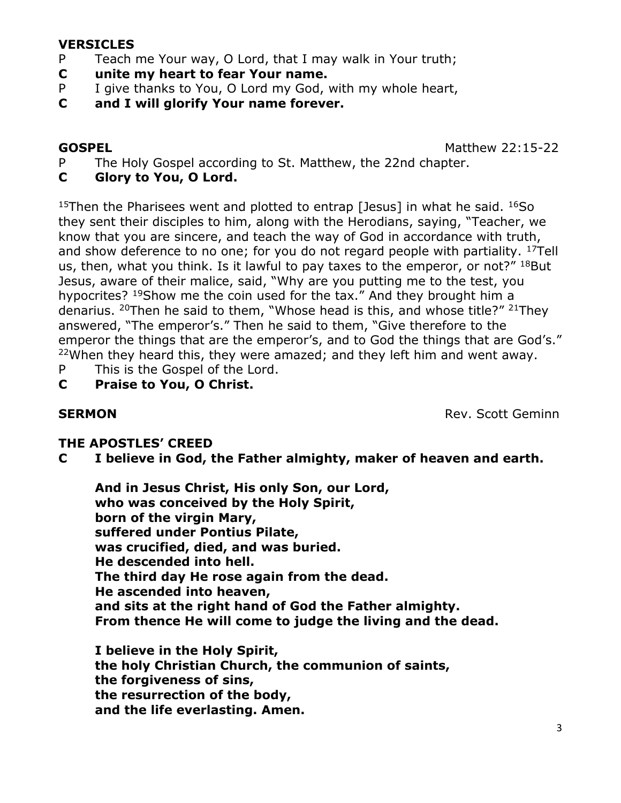#### **VERSICLES**

- P Teach me Your way, O Lord, that I may walk in Your truth;
- **C unite my heart to fear Your name.**
- P I give thanks to You, O Lord my God, with my whole heart,
- **C and I will glorify Your name forever.**

**GOSPEL** Matthew 22:15-22

- P The Holy Gospel according to St. Matthew, the 22nd chapter.
- **C Glory to You, O Lord.**

<sup>15</sup>Then the Pharisees went and plotted to entrap [Jesus] in what he said.  $^{16}$ So they sent their disciples to him, along with the Herodians, saying, "Teacher, we know that you are sincere, and teach the way of God in accordance with truth, and show deference to no one; for you do not regard people with partiality.  $17$ Tell us, then, what you think. Is it lawful to pay taxes to the emperor, or not?"  $^{18}$ But Jesus, aware of their malice, said, "Why are you putting me to the test, you hypocrites? <sup>19</sup>Show me the coin used for the tax." And they brought him a denarius. <sup>20</sup>Then he said to them, "Whose head is this, and whose title?" <sup>21</sup>They answered, "The emperor's." Then he said to them, "Give therefore to the emperor the things that are the emperor's, and to God the things that are God's."  $22$ When they heard this, they were amazed; and they left him and went away.

- P This is the Gospel of the Lord.
- **C Praise to You, O Christ.**

**SERMON** Rev. Scott Geminn

### **THE APOSTLES' CREED**

**C I believe in God, the Father almighty, maker of heaven and earth.**

**And in Jesus Christ, His only Son, our Lord, who was conceived by the Holy Spirit, born of the virgin Mary, suffered under Pontius Pilate, was crucified, died, and was buried. He descended into hell. The third day He rose again from the dead. He ascended into heaven, and sits at the right hand of God the Father almighty. From thence He will come to judge the living and the dead.**

**I believe in the Holy Spirit, the holy Christian Church, the communion of saints, the forgiveness of sins, the resurrection of the body, and the life everlasting. Amen.**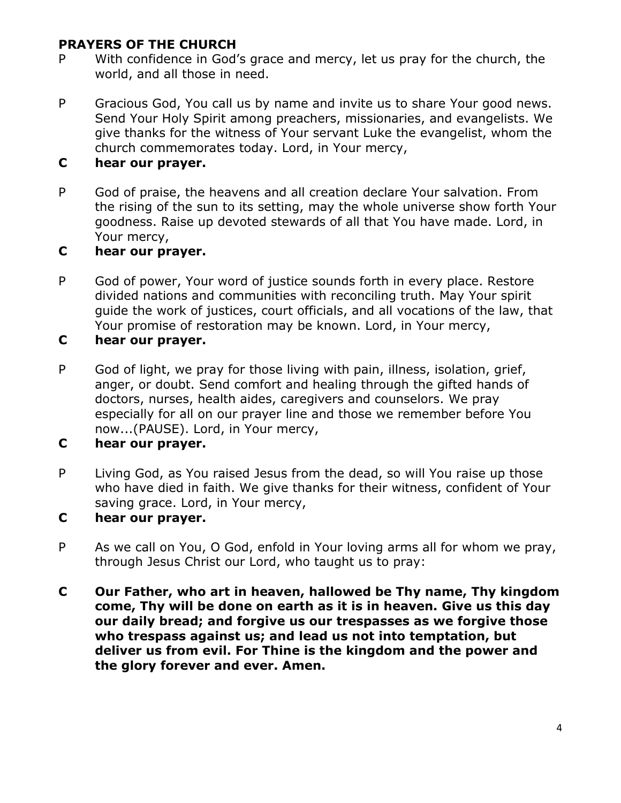## **PRAYERS OF THE CHURCH**

- P With confidence in God's grace and mercy, let us pray for the church, the world, and all those in need.
- P Gracious God, You call us by name and invite us to share Your good news. Send Your Holy Spirit among preachers, missionaries, and evangelists. We give thanks for the witness of Your servant Luke the evangelist, whom the church commemorates today. Lord, in Your mercy,

## **C hear our prayer.**

P God of praise, the heavens and all creation declare Your salvation. From the rising of the sun to its setting, may the whole universe show forth Your goodness. Raise up devoted stewards of all that You have made. Lord, in Your mercy,

## **C hear our prayer.**

P God of power, Your word of justice sounds forth in every place. Restore divided nations and communities with reconciling truth. May Your spirit guide the work of justices, court officials, and all vocations of the law, that Your promise of restoration may be known. Lord, in Your mercy,

### **C hear our prayer.**

P God of light, we pray for those living with pain, illness, isolation, grief, anger, or doubt. Send comfort and healing through the gifted hands of doctors, nurses, health aides, caregivers and counselors. We pray especially for all on our prayer line and those we remember before You now...(PAUSE). Lord, in Your mercy,

### **C hear our prayer.**

P Living God, as You raised Jesus from the dead, so will You raise up those who have died in faith. We give thanks for their witness, confident of Your saving grace. Lord, in Your mercy,

### **C hear our prayer.**

- P As we call on You, O God, enfold in Your loving arms all for whom we pray, through Jesus Christ our Lord, who taught us to pray:
- **C Our Father, who art in heaven, hallowed be Thy name, Thy kingdom come, Thy will be done on earth as it is in heaven. Give us this day our daily bread; and forgive us our trespasses as we forgive those who trespass against us; and lead us not into temptation, but deliver us from evil. For Thine is the kingdom and the power and the glory forever and ever. Amen.**